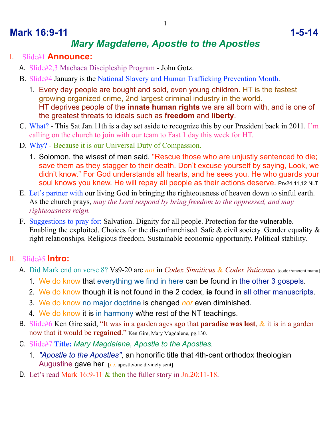## **Mark 16:9-11** 1-5-14

# *Mary Magdalene, Apostle to the Apostles*

#### I. Slide#1 **Announce:**

A. Slide#2,3 Machaca Discipleship Program - John Gotz.

- B. Slide#4 January is the National Slavery and Human Trafficking Prevention Month.
	- 1. Every day people are bought and sold, even young children. HT is the fastest growing organized crime, 2nd largest criminal industry in the world. HT deprives people of the **innate human rights** we are all born with, and is one of the greatest threats to ideals such as **freedom** and **liberty**.
- C. What? This Sat Jan.11th is a day set aside to recognize this by our President back in 2011. I'm calling on the church to join with our team to Fast 1 day this week for HT.
- D. Why? Because it is our Universal Duty of Compassion.
	- 1. Solomon, the wisest of men said, "Rescue those who are unjustly sentenced to die; save them as they stagger to their death. Don't excuse yourself by saying, Look, we didn't know." For God understands all hearts, and he sees you. He who guards your soul knows you knew. He will repay all people as their actions deserve. Prv24:11,12 NLT
- E. Let's partner with our living God in bringing the righteousness of heaven down to sinful earth. As the church prays, *may the Lord respond by bring freedom to the oppressed, and may righteousness reign.*
- F. Suggestions to pray for: Salvation. Dignity for all people. Protection for the vulnerable. Enabling the exploited. Choices for the disenfranchised. Safe & civil society. Gender equality & right relationships. Religious freedom. Sustainable economic opportunity. Political stability.

#### II. Slide#5 **Intro:**

- A. Did Mark end on verse 8? Vs9-20 are *not* in *Codex Sinaiticus* & *Codex Vaticanus* [codex/ancient manu]
	- 1. We do know that everything we find in here can be found in the other 3 gospels.
	- 2. We do know though it is not found in the 2 codex, **is** found in all other manuscripts.
	- 3. We do know no major doctrine is changed *nor* even diminished.
	- 4. We do know it is in harmony w/the rest of the NT teachings.
- B. Slide#6 Ken Gire said, "It was in a garden ages ago that **paradise was lost**, & it is in a garden now that it would be **regained**." Ken Gire, Mary Magdalene, pg.130.
- C. Slide#7 **Title:** *Mary Magdalene, Apostle to the Apostles*.
	- 1. *"Apostle to the Apostles"*, an honorific title that 4th-cent orthodox theologian Augustine gave her. [i.e. apostle/one divinely sent]
- D. Let's read Mark 16:9-11 & then the fuller story in Jn.20:11-18.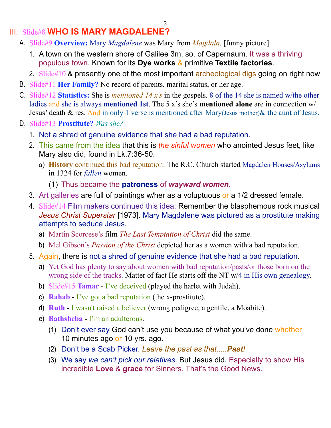### III. Slide#8 **WHO IS MARY MAGDALENE?**

- A. Slide#9 **Overview:** Mary *Magdalene* was Mary from *Magdala*. [funny picture]
	- 1. A town on the western shore of Galilee 3m. so. of Capernaum. It was a thriving populous town. Known for its **Dye works** & primitive **Textile factories**.
	- 2. Slide#10 & presently one of the most important archeological digs going on right now
- B. Slide#11 **Her Family?** No record of parents, marital status, or her age.
- C. Slide#12 **Statistics:** She is *mentioned 14 x's* in the gospels. 8 of the 14 she is named w/the other ladies and she is always **mentioned 1st**. The 5 x's she's **mentioned alone** are in connection w/ Jesus' death & res. And in only 1 verse is mentioned after Mary(Jesus mother) & the aunt of Jesus.
- D. Slide#13 **Prostitute?** *Was she?*
	- 1. Not a shred of genuine evidence that she had a bad reputation.
	- 2. This came from the idea that this is *the sinful women* who anointed Jesus feet, like Mary also did, found in Lk.7:36-50.
		- a) **History** continued this bad reputation: The R.C. Church started Magdalen Houses/Asylums in 1324 for *fallen* women.
			- (1) Thus became the **patroness** of *wayward women*.
	- 3. Art galleries are full of paintings w/her as a voluptuous or a 1/2 dressed female.
	- 4. Slide#14 Film makers continued this idea: Remember the blasphemous rock musical *Jesus Christ Superstar* [1973]. Mary Magdalene was pictured as a prostitute making attempts to seduce Jesus.
		- a) Martin Scorcese's film *The Last Temptation of Christ* did the same.
		- b) Mel Gibson's *Passion of the Christ* depicted her as a women with a bad reputation.
	- 5. Again, there is not a shred of genuine evidence that she had a bad reputation.
		- a) Yet God has plenty to say about women with bad reputation/pasts/or those born on the wrong side of the tracks. Matter of fact He starts off the NT w/4 in His own genealogy.
		- b) Slide#15 **Tamar** I've deceived (played the harlet with Judah).
		- c) **Rahab** I've got a bad reputation (the x-prostitute).
		- d) **Ruth** I wasn't raised a believer (wrong pedigree, a gentile, a Moabite).
		- e) **Bathsheba** I'm an adulterous.
			- (1) Don't ever say God can't use you because of what you've done whether 10 minutes ago or 10 yrs. ago.
			- (2) Don't be a Scab Picker. *Leave the past as that.....Past!*
			- (3) We say *we can't pick our relatives*. But Jesus did. Especially to show His incredible **Love** & **grace** for Sinners. That's the Good News.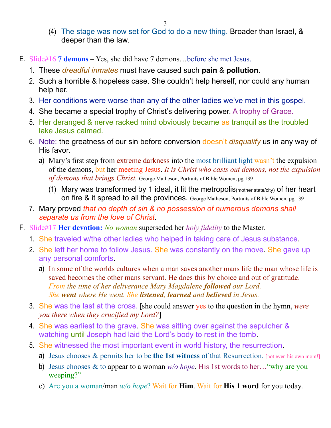- (4) The stage was now set for God to do a new thing. Broader than Israel, & deeper than the law.
- E. Slide#16 **7 demons** Yes, she did have 7 demons…before she met Jesus.
	- 1. These *dreadful inmates* must have caused such **pain** & **pollution**.
	- 2. Such a horrible & hopeless case. She couldn't help herself, nor could any human help her.
	- 3. Her conditions were worse than any of the other ladies we've met in this gospel.
	- 4. She became a special trophy of Christ's delivering power. A trophy of Grace.
	- 5. Her deranged & nerve racked mind obviously became as tranquil as the troubled lake Jesus calmed.
	- 6. Note: the greatness of our sin before conversion doesn't *disqualify* us in any way of His favor.
		- a) Mary's first step from extreme darkness into the most brilliant light wasn't the expulsion of the demons, but her meeting Jesus. *It is Christ who casts out demons, not the expulsion of demons that brings Christ.* George Matheson, Portraits of Bible Women, pg.139
			- (1) Mary was transformed by 1 ideal, it lit the metropolis(mother state/city) of her heart on fire & it spread to all the provinces. George Matheson, Portraits of Bible Women, pg.139
	- 7. Mary proved *that no depth of sin & no possession of numerous demons shall separate us from the love of Christ*.
- F. Slide#17 **Her devotion:** *No woman* superseded her *holy fidelity* to the Master.
	- 1. She traveled w/the other ladies who helped in taking care of Jesus substance.
	- 2. She left her home to follow Jesus. She was constantly on the move. She gave up any personal comforts.
		- a) In some of the worlds cultures when a man saves another mans life the man whose life is saved becomes the other mans servant. He does this by choice and out of gratitude. *From the time of her deliverance Mary Magdalene followed our Lord. She went where He went. She listened, learned and believed in Jesus.*
	- 3. She was the last at the cross. [she could answer yes to the question in the hymn, *were you there when they crucified my Lord?*]
	- 4. She was earliest to the grave. She was sitting over against the sepulcher & watching until Joseph had laid the Lord's body to rest in the tomb.
	- 5. She witnessed the most important event in world history, the resurrection.
		- a) Jesus chooses & permits her to be **the 1st witness** of that Resurrection. [not even his own mom!]
		- b) Jesus chooses & to appear to a woman *w/o hope*. His 1st words to her…"why are you weeping?"
		- c) Are you a woman/man *w/o hope*? Wait for **Him**. Wait for **His 1 word** for you today.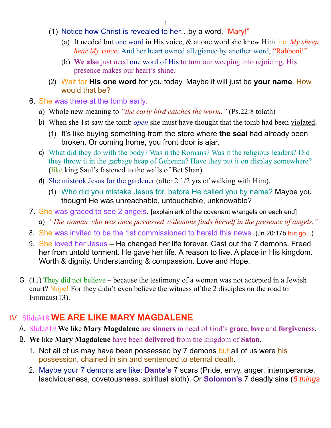- (1) Notice how Christ is revealed to her…by a word, "Mary!"
	- (a) It needed but one word in His voice, & at one word she knew Him. i.e. *My sheep hear My voice.* And her heart owned allegiance by another word, "Rabboni!"
	- (b) **We also** just need one word of His to turn our weeping into rejoicing, His presence makes our heart's shine.
- (2) Wait for **His one word** for you today. Maybe it will just be **your name**. How would that be?
- 6. She was there at the tomb early.
	- a) Whole new meaning to *"the early bird catches the worm."* (Ps.22:8 tolath)
	- b) When she 1st saw the tomb *open* she must have thought that the tomb had been violated.
		- (1) It's like buying something from the store where **the seal** had already been broken. Or coming home, you front door is ajar.
	- c) What did they do with the body? Was it the Romans? Was it the religious leaders? Did they throw it in the garbage heap of Gehenna? Have they put it on display somewhere? (like king Saul's fastened to the walls of Bet Shan)
	- d) She mistook Jesus for the gardener (after 2 1/2 yrs of walking with Him).
		- (1) Who did you mistake Jesus for, before He called you by name? Maybe you thought He was unreachable, untouchable, unknowable?
- 7. She was graced to see 2 angels. [explain ark of the covenant w/angels on each end]
	- a) *"The woman who was once possessed w/demons finds herself in the presence of angels."*
- 8. She was invited to be the 1st commissioned to herald this news. (Jn.20:17b but go...)
- 9. She loved her Jesus He changed her life forever. Cast out the 7 demons. Freed her from untold torment. He gave her life. A reason to live. A place in His kingdom. Worth & dignity. Understanding & compassion. Love and Hope.
- G. (11) They did not believe because the testimony of a woman was not accepted in a Jewish court? Nope! For they didn't even believe the witness of the 2 disciples on the road to Emmaus(13).

## IV. Slide#18 **WE ARE LIKE MARY MAGDALENE**

- A. Slide#19 **We** like **Mary Magdalene** are **sinners** in need of God's **grace**, **love** and **forgiveness**.
- B. **We** like **Mary Magdalene** have been **delivered** from the kingdom of **Satan**.
	- 1. Not all of us may have been possessed by 7 demons but all of us were his possession, chained in sin and sentenced to eternal death.
	- 2. Maybe your 7 demons are like: **Dante's** 7 scars (Pride, envy, anger, intemperance, lasciviousness, covetousness, spiritual sloth). Or **Solomon's** 7 deadly sins (*6 things*